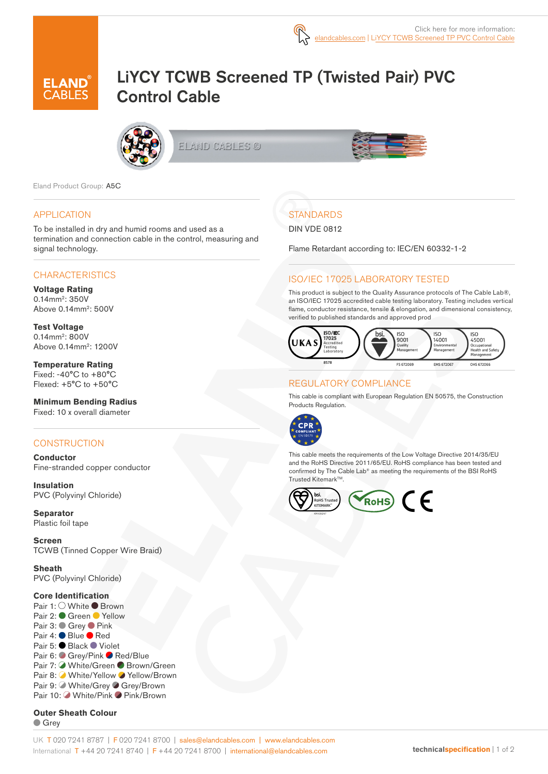

# LiYCY TCWB Screened TP (Twisted Pair) PVC Control Cable



ELAND CABLES ©



Eland Product Group: A5C

#### APPLICATION

To be installed in dry and humid rooms and used as a termination and connection cable in the control, measuring and signal technology.

#### **CHARACTERISTICS**

**Voltage Rating**  0.14mm2: 350V Above 0.14mm2: 500V

**Test Voltage** 0.14mm<sup>2</sup>: 800V Above 0.14mm2: 1200V

**Temperature Rating** Fixed: -40°C to +80°C Flexed: +5°C to +50°C

**Minimum Bending Radius**  Fixed: 10 x overall diameter

#### **CONSTRUCTION**

**Conductor** Fine-stranded copper conductor

**Insulation** PVC (Polyvinyl Chloride)

**Separator** Plastic foil tape

**Screen** TCWB (Tinned Copper Wire Braid)

**Sheath** PVC (Polyvinyl Chloride)

#### **Core Identification**

Pair 1: ○ White ● Brown Pair 2: Green Yellow Pair 3: ● Grey ● Pink Pair 4: ● Blue ● Red Pair 5: ● Black ● Violet Pair 6: Grey/Pink Red/Blue Pair 7: White/Green Brown/Green Pair 8: White/Yellow ◆ Yellow/Brown Pair 9: ■ White/Grey ● Grey/Brown Pair 10: White/Pink Pink/Brown

**Outer Sheath Colour** Grey

**STANDARDS** 

#### DIN VDE 0812

Flame Retardant according to: IEC/EN 60332-1-2

### ISO/IEC 17025 LABORATORY TESTED

This product is subject to the Quality Assurance protocols of The Cable Lab®, an ISO/IEC 17025 accredited cable testing laboratory. Testing includes vertical flame, conductor resistance, tensile & elongation, and dimensional consistency, verified to published standards and approved prod



## REGULATORY COMPLIANCE

This cable is compliant with European Regulation EN 50575, the Construction Products Regulation.



This cable meets the requirements of the Low Voltage Directive 2014/35/EU and the RoHS Directive 2011/65/EU. RoHS compliance has been tested and confirmed by The Cable Lab® as meeting the requirements of the BSI RoHS Trusted Kitemark™.